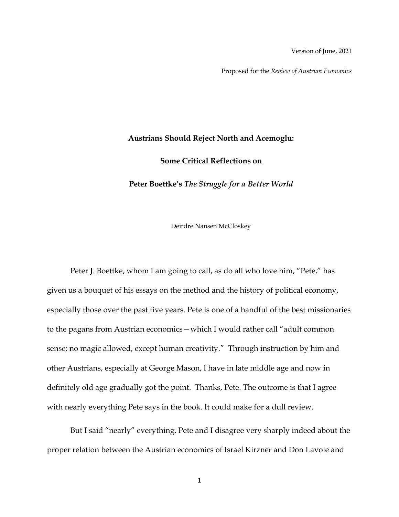Version of June, 2021

Proposed for the *Review of Austrian Economics*

## **Austrians Should Reject North and Acemoglu:**

**Some Critical Reflections on** 

**Peter Boettke's** *The Struggle for a Better World*

Deirdre Nansen McCloskey

Peter J. Boettke, whom I am going to call, as do all who love him, "Pete," has given us a bouquet of his essays on the method and the history of political economy, especially those over the past five years. Pete is one of a handful of the best missionaries to the pagans from Austrian economics—which I would rather call "adult common sense; no magic allowed, except human creativity." Through instruction by him and other Austrians, especially at George Mason, I have in late middle age and now in definitely old age gradually got the point. Thanks, Pete. The outcome is that I agree with nearly everything Pete says in the book. It could make for a dull review.

But I said "nearly" everything. Pete and I disagree very sharply indeed about the proper relation between the Austrian economics of Israel Kirzner and Don Lavoie and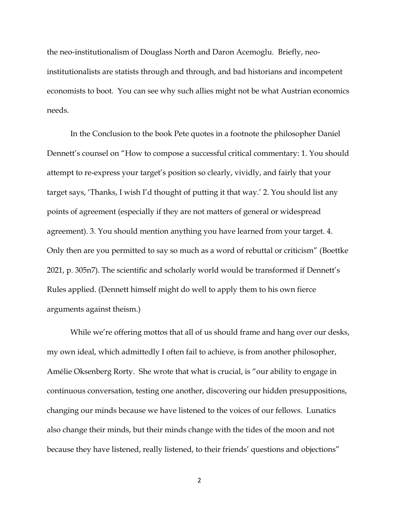the neo-institutionalism of Douglass North and Daron Acemoglu. Briefly, neoinstitutionalists are statists through and through, and bad historians and incompetent economists to boot. You can see why such allies might not be what Austrian economics needs.

In the Conclusion to the book Pete quotes in a footnote the philosopher Daniel Dennett's counsel on "How to compose a successful critical commentary: 1. You should attempt to re-express your target's position so clearly, vividly, and fairly that your target says, 'Thanks, I wish I'd thought of putting it that way.' 2. You should list any points of agreement (especially if they are not matters of general or widespread agreement). 3. You should mention anything you have learned from your target. 4. Only then are you permitted to say so much as a word of rebuttal or criticism" (Boettke 2021, p. 305n7). The scientific and scholarly world would be transformed if Dennett's Rules applied. (Dennett himself might do well to apply them to his own fierce arguments against theism.)

While we're offering mottos that all of us should frame and hang over our desks, my own ideal, which admittedly I often fail to achieve, is from another philosopher, Amélie Oksenberg Rorty. She wrote that what is crucial, is "our ability to engage in continuous conversation, testing one another, discovering our hidden presuppositions, changing our minds because we have listened to the voices of our fellows. Lunatics also change their minds, but their minds change with the tides of the moon and not because they have listened, really listened, to their friends' questions and objections"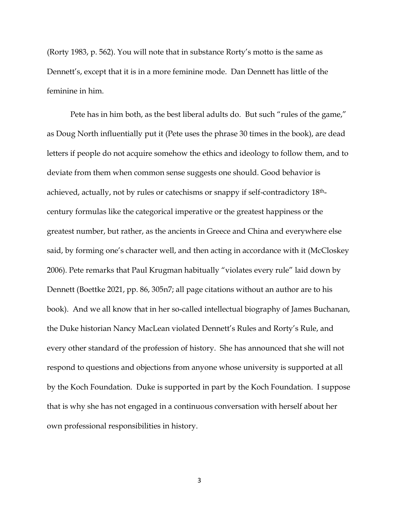(Rorty 1983, p. 562). You will note that in substance Rorty's motto is the same as Dennett's, except that it is in a more feminine mode. Dan Dennett has little of the feminine in him.

Pete has in him both, as the best liberal adults do. But such "rules of the game," as Doug North influentially put it (Pete uses the phrase 30 times in the book), are dead letters if people do not acquire somehow the ethics and ideology to follow them, and to deviate from them when common sense suggests one should. Good behavior is achieved, actually, not by rules or catechisms or snappy if self-contradictory 18thcentury formulas like the categorical imperative or the greatest happiness or the greatest number, but rather, as the ancients in Greece and China and everywhere else said, by forming one's character well, and then acting in accordance with it (McCloskey 2006). Pete remarks that Paul Krugman habitually "violates every rule" laid down by Dennett (Boettke 2021, pp. 86, 305n7; all page citations without an author are to his book). And we all know that in her so-called intellectual biography of James Buchanan, the Duke historian Nancy MacLean violated Dennett's Rules and Rorty's Rule, and every other standard of the profession of history. She has announced that she will not respond to questions and objections from anyone whose university is supported at all by the Koch Foundation. Duke is supported in part by the Koch Foundation. I suppose that is why she has not engaged in a continuous conversation with herself about her own professional responsibilities in history.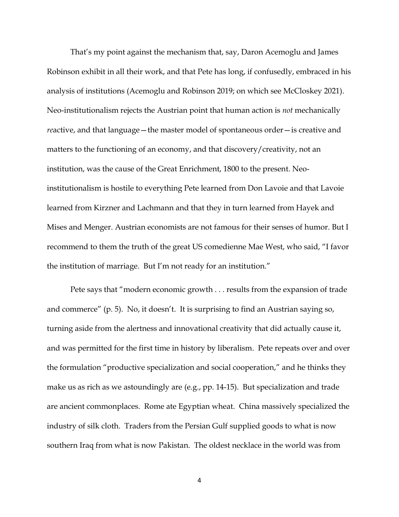That's my point against the mechanism that, say, Daron Acemoglu and James Robinson exhibit in all their work, and that Pete has long, if confusedly, embraced in his analysis of institutions (Acemoglu and Robinson 2019; on which see McCloskey 2021). Neo-institutionalism rejects the Austrian point that human action is *not* mechanically *re*active, and that language—the master model of spontaneous order—is creative and matters to the functioning of an economy, and that discovery/creativity, not an institution, was the cause of the Great Enrichment, 1800 to the present. Neoinstitutionalism is hostile to everything Pete learned from Don Lavoie and that Lavoie learned from Kirzner and Lachmann and that they in turn learned from Hayek and Mises and Menger. Austrian economists are not famous for their senses of humor. But I recommend to them the truth of the great US comedienne Mae West, who said, "I favor the institution of marriage. But I'm not ready for an institution."

Pete says that "modern economic growth . . . results from the expansion of trade and commerce" (p. 5). No, it doesn't. It is surprising to find an Austrian saying so, turning aside from the alertness and innovational creativity that did actually cause it, and was permitted for the first time in history by liberalism. Pete repeats over and over the formulation "productive specialization and social cooperation," and he thinks they make us as rich as we astoundingly are (e.g., pp. 14-15). But specialization and trade are ancient commonplaces. Rome ate Egyptian wheat. China massively specialized the industry of silk cloth. Traders from the Persian Gulf supplied goods to what is now southern Iraq from what is now Pakistan. The oldest necklace in the world was from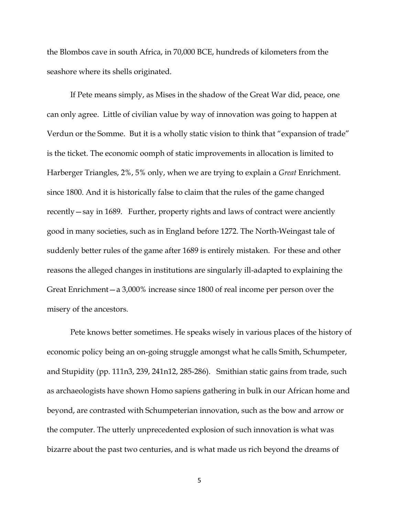the Blombos cave in south Africa, in 70,000 BCE, hundreds of kilometers from the seashore where its shells originated.

If Pete means simply, as Mises in the shadow of the Great War did, peace, one can only agree. Little of civilian value by way of innovation was going to happen at Verdun or the Somme. But it is a wholly static vision to think that "expansion of trade" is the ticket. The economic oomph of static improvements in allocation is limited to Harberger Triangles, 2%, 5% only, when we are trying to explain a *Great* Enrichment. since 1800. And it is historically false to claim that the rules of the game changed recently—say in 1689. Further, property rights and laws of contract were anciently good in many societies, such as in England before 1272. The North-Weingast tale of suddenly better rules of the game after 1689 is entirely mistaken. For these and other reasons the alleged changes in institutions are singularly ill-adapted to explaining the Great Enrichment—a 3,000% increase since 1800 of real income per person over the misery of the ancestors.

Pete knows better sometimes. He speaks wisely in various places of the history of economic policy being an on-going struggle amongst what he calls Smith, Schumpeter, and Stupidity (pp. 111n3, 239, 241n12, 285-286). Smithian static gains from trade, such as archaeologists have shown Homo sapiens gathering in bulk in our African home and beyond, are contrasted with Schumpeterian innovation, such as the bow and arrow or the computer. The utterly unprecedented explosion of such innovation is what was bizarre about the past two centuries, and is what made us rich beyond the dreams of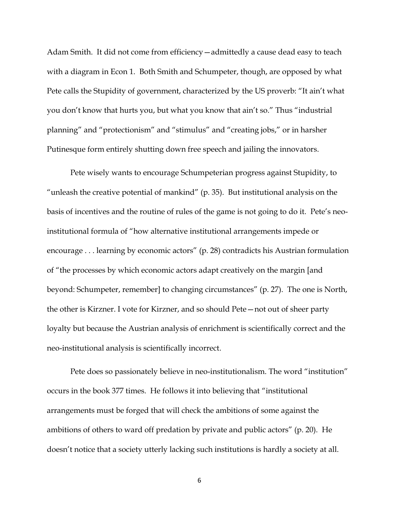Adam Smith. It did not come from efficiency—admittedly a cause dead easy to teach with a diagram in Econ 1. Both Smith and Schumpeter, though, are opposed by what Pete calls the Stupidity of government, characterized by the US proverb: "It ain't what you don't know that hurts you, but what you know that ain't so." Thus "industrial planning" and "protectionism" and "stimulus" and "creating jobs," or in harsher Putinesque form entirely shutting down free speech and jailing the innovators.

Pete wisely wants to encourage Schumpeterian progress against Stupidity, to "unleash the creative potential of mankind" (p. 35). But institutional analysis on the basis of incentives and the routine of rules of the game is not going to do it. Pete's neoinstitutional formula of "how alternative institutional arrangements impede or encourage . . . learning by economic actors" (p. 28) contradicts his Austrian formulation of "the processes by which economic actors adapt creatively on the margin [and beyond: Schumpeter, remember] to changing circumstances" (p. 27). The one is North, the other is Kirzner. I vote for Kirzner, and so should Pete—not out of sheer party loyalty but because the Austrian analysis of enrichment is scientifically correct and the neo-institutional analysis is scientifically incorrect.

Pete does so passionately believe in neo-institutionalism. The word "institution" occurs in the book 377 times. He follows it into believing that "institutional arrangements must be forged that will check the ambitions of some against the ambitions of others to ward off predation by private and public actors" (p. 20). He doesn't notice that a society utterly lacking such institutions is hardly a society at all.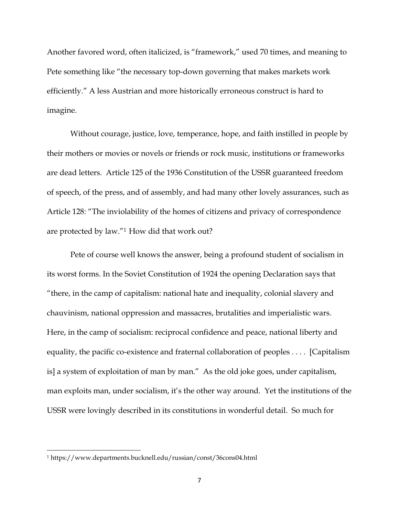Another favored word, often italicized, is "framework," used 70 times, and meaning to Pete something like "the necessary top-down governing that makes markets work efficiently." A less Austrian and more historically erroneous construct is hard to imagine.

Without courage, justice, love, temperance, hope, and faith instilled in people by their mothers or movies or novels or friends or rock music, institutions or frameworks are dead letters. Article 125 of the 1936 Constitution of the USSR guaranteed freedom of speech, of the press, and of assembly, and had many other lovely assurances, such as Article 128: "The inviolability of the homes of citizens and privacy of correspondence are protected by law."1 How did that work out?

Pete of course well knows the answer, being a profound student of socialism in its worst forms. In the Soviet Constitution of 1924 the opening Declaration says that "there, in the camp of capitalism: national hate and inequality, colonial slavery and chauvinism, national oppression and massacres, brutalities and imperialistic wars. Here, in the camp of socialism: reciprocal confidence and peace, national liberty and equality, the pacific co-existence and fraternal collaboration of peoples . . . . [Capitalism is] a system of exploitation of man by man." As the old joke goes, under capitalism, man exploits man, under socialism, it's the other way around. Yet the institutions of the USSR were lovingly described in its constitutions in wonderful detail. So much for

<sup>1</sup> https://www.departments.bucknell.edu/russian/const/36cons04.html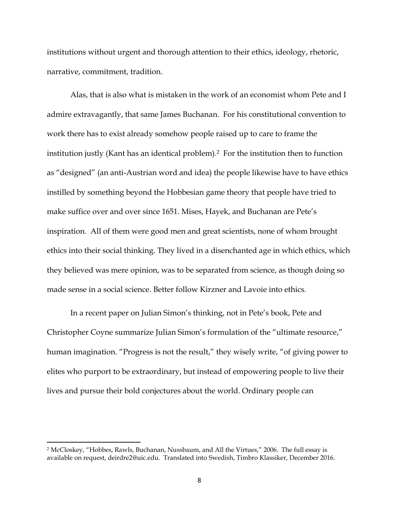institutions without urgent and thorough attention to their ethics, ideology, rhetoric, narrative, commitment, tradition.

Alas, that is also what is mistaken in the work of an economist whom Pete and I admire extravagantly, that same James Buchanan. For his constitutional convention to work there has to exist already somehow people raised up to care to frame the institution justly (Kant has an identical problem).2 For the institution then to function as "designed" (an anti-Austrian word and idea) the people likewise have to have ethics instilled by something beyond the Hobbesian game theory that people have tried to make suffice over and over since 1651. Mises, Hayek, and Buchanan are Pete's inspiration. All of them were good men and great scientists, none of whom brought ethics into their social thinking. They lived in a disenchanted age in which ethics, which they believed was mere opinion, was to be separated from science, as though doing so made sense in a social science. Better follow Kirzner and Lavoie into ethics.

In a recent paper on Julian Simon's thinking, not in Pete's book, Pete and Christopher Coyne summarize Julian Simon's formulation of the "ultimate resource," human imagination. "Progress is not the result," they wisely write, "of giving power to elites who purport to be extraordinary, but instead of empowering people to live their lives and pursue their bold conjectures about the world. Ordinary people can

<sup>2</sup> McCloskey, "Hobbes, Rawls, Buchanan, Nussbaum, and All the Virtues," 2006. The full essay is available on request, deirdre2@uic.edu. Translated into Swedish, Timbro Klassiker, December 2016.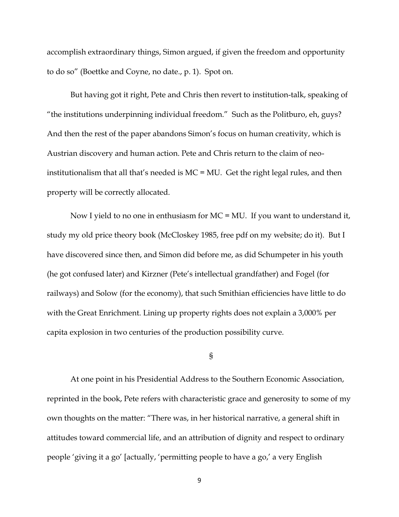accomplish extraordinary things, Simon argued, if given the freedom and opportunity to do so" (Boettke and Coyne, no date., p. 1). Spot on.

But having got it right, Pete and Chris then revert to institution-talk, speaking of "the institutions underpinning individual freedom." Such as the Politburo, eh, guys? And then the rest of the paper abandons Simon's focus on human creativity, which is Austrian discovery and human action. Pete and Chris return to the claim of neoinstitutionalism that all that's needed is MC = MU. Get the right legal rules, and then property will be correctly allocated.

Now I yield to no one in enthusiasm for MC = MU. If you want to understand it, study my old price theory book (McCloskey 1985, free pdf on my website; do it). But I have discovered since then, and Simon did before me, as did Schumpeter in his youth (he got confused later) and Kirzner (Pete's intellectual grandfather) and Fogel (for railways) and Solow (for the economy), that such Smithian efficiencies have little to do with the Great Enrichment. Lining up property rights does not explain a 3,000% per capita explosion in two centuries of the production possibility curve.

## §

At one point in his Presidential Address to the Southern Economic Association, reprinted in the book, Pete refers with characteristic grace and generosity to some of my own thoughts on the matter: "There was, in her historical narrative, a general shift in attitudes toward commercial life, and an attribution of dignity and respect to ordinary people 'giving it a go' [actually, 'permitting people to have a go,' a very English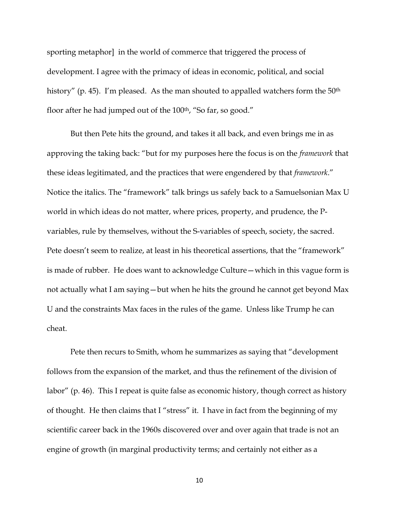sporting metaphor] in the world of commerce that triggered the process of development. I agree with the primacy of ideas in economic, political, and social history" (p. 45). I'm pleased. As the man shouted to appalled watchers form the 50<sup>th</sup> floor after he had jumped out of the 100<sup>th</sup>, "So far, so good."

But then Pete hits the ground, and takes it all back, and even brings me in as approving the taking back: "but for my purposes here the focus is on the *framework* that these ideas legitimated, and the practices that were engendered by that *framework*." Notice the italics. The "framework" talk brings us safely back to a Samuelsonian Max U world in which ideas do not matter, where prices, property, and prudence, the Pvariables, rule by themselves, without the S-variables of speech, society, the sacred. Pete doesn't seem to realize, at least in his theoretical assertions, that the "framework" is made of rubber. He does want to acknowledge Culture—which in this vague form is not actually what I am saying—but when he hits the ground he cannot get beyond Max U and the constraints Max faces in the rules of the game. Unless like Trump he can cheat.

Pete then recurs to Smith, whom he summarizes as saying that "development follows from the expansion of the market, and thus the refinement of the division of labor" (p. 46). This I repeat is quite false as economic history, though correct as history of thought. He then claims that I "stress" it. I have in fact from the beginning of my scientific career back in the 1960s discovered over and over again that trade is not an engine of growth (in marginal productivity terms; and certainly not either as a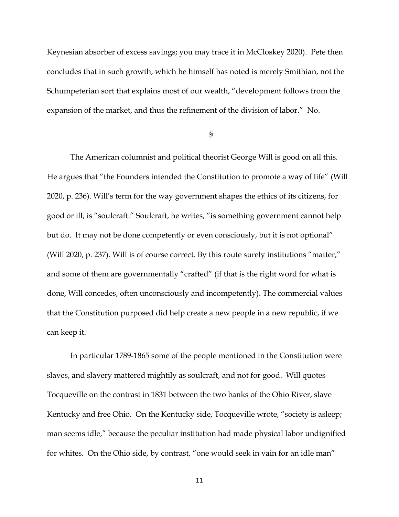Keynesian absorber of excess savings; you may trace it in McCloskey 2020). Pete then concludes that in such growth, which he himself has noted is merely Smithian, not the Schumpeterian sort that explains most of our wealth, "development follows from the expansion of the market, and thus the refinement of the division of labor." No.

§

The American columnist and political theorist George Will is good on all this. He argues that "the Founders intended the Constitution to promote a way of life" (Will 2020, p. 236). Will's term for the way government shapes the ethics of its citizens, for good or ill, is "soulcraft." Soulcraft, he writes, "is something government cannot help but do. It may not be done competently or even consciously, but it is not optional" (Will 2020, p. 237). Will is of course correct. By this route surely institutions "matter," and some of them are governmentally "crafted" (if that is the right word for what is done, Will concedes, often unconsciously and incompetently). The commercial values that the Constitution purposed did help create a new people in a new republic, if we can keep it.

In particular 1789-1865 some of the people mentioned in the Constitution were slaves, and slavery mattered mightily as soulcraft, and not for good. Will quotes Tocqueville on the contrast in 1831 between the two banks of the Ohio River, slave Kentucky and free Ohio. On the Kentucky side, Tocqueville wrote, "society is asleep; man seems idle," because the peculiar institution had made physical labor undignified for whites. On the Ohio side, by contrast, "one would seek in vain for an idle man"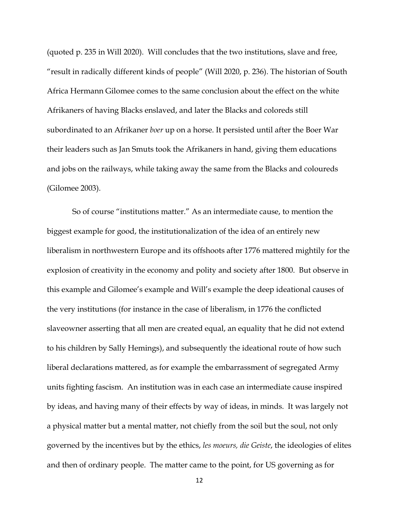(quoted p. 235 in Will 2020). Will concludes that the two institutions, slave and free, "result in radically different kinds of people" (Will 2020, p. 236). The historian of South Africa Hermann Gilomee comes to the same conclusion about the effect on the white Afrikaners of having Blacks enslaved, and later the Blacks and coloreds still subordinated to an Afrikaner *boer* up on a horse. It persisted until after the Boer War their leaders such as Jan Smuts took the Afrikaners in hand, giving them educations and jobs on the railways, while taking away the same from the Blacks and coloureds (Gilomee 2003).

So of course "institutions matter." As an intermediate cause, to mention the biggest example for good, the institutionalization of the idea of an entirely new liberalism in northwestern Europe and its offshoots after 1776 mattered mightily for the explosion of creativity in the economy and polity and society after 1800. But observe in this example and Gilomee's example and Will's example the deep ideational causes of the very institutions (for instance in the case of liberalism, in 1776 the conflicted slaveowner asserting that all men are created equal, an equality that he did not extend to his children by Sally Hemings), and subsequently the ideational route of how such liberal declarations mattered, as for example the embarrassment of segregated Army units fighting fascism. An institution was in each case an intermediate cause inspired by ideas, and having many of their effects by way of ideas, in minds. It was largely not a physical matter but a mental matter, not chiefly from the soil but the soul, not only governed by the incentives but by the ethics, *les moeurs, die Geiste*, the ideologies of elites and then of ordinary people. The matter came to the point, for US governing as for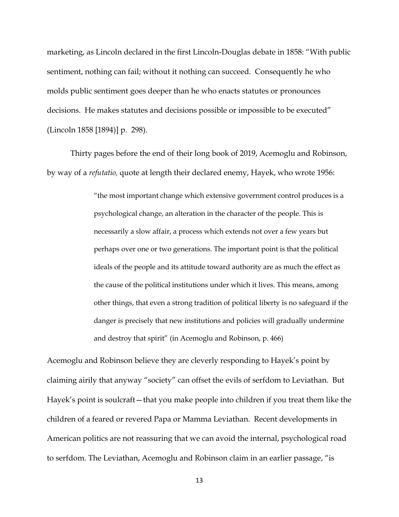marketing, as Lincoln declared in the first Lincoln-Douglas debate in 1858: "With public sentiment, nothing can fail; without it nothing can succeed. Consequently he who molds public sentiment goes deeper than he who enacts statutes or pronounces decisions. He makes statutes and decisions possible or impossible to be executed" (Lincoln 1858 [1894)] p. 298).

Thirty pages before the end of their long book of 2019, Acemoglu and Robinson, by way of a *refutatio,* quote at length their declared enemy, Hayek, who wrote 1956:

> "the most important change which extensive government control produces is a psychological change, an alteration in the character of the people. This is necessarily a slow affair, a process which extends not over a few years but perhaps over one or two generations. The important point is that the political ideals of the people and its attitude toward authority are as much the effect as the cause of the political institutions under which it lives. This means, among other things, that even a strong tradition of political liberty is no safeguard if the danger is precisely that new institutions and policies will gradually undermine and destroy that spirit" (in Acemoglu and Robinson, p. 466)

Acemoglu and Robinson believe they are cleverly responding to Hayek's point by claiming airily that anyway "society" can offset the evils of serfdom to Leviathan. But Hayek's point is soulcraft—that you make people into children if you treat them like the children of a feared or revered Papa or Mamma Leviathan. Recent developments in American politics are not reassuring that we can avoid the internal, psychological road to serfdom. The Leviathan, Acemoglu and Robinson claim in an earlier passage, "is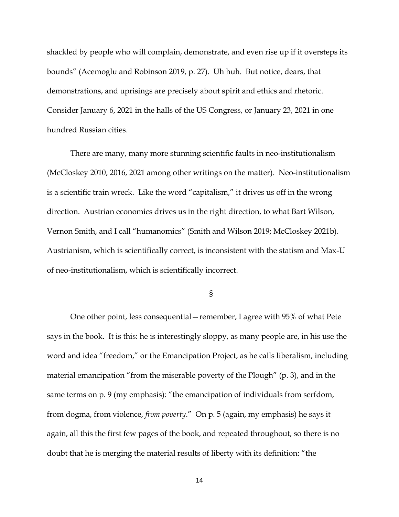shackled by people who will complain, demonstrate, and even rise up if it oversteps its bounds" (Acemoglu and Robinson 2019, p. 27). Uh huh. But notice, dears, that demonstrations, and uprisings are precisely about spirit and ethics and rhetoric. Consider January 6, 2021 in the halls of the US Congress, or January 23, 2021 in one hundred Russian cities.

There are many, many more stunning scientific faults in neo-institutionalism (McCloskey 2010, 2016, 2021 among other writings on the matter). Neo-institutionalism is a scientific train wreck. Like the word "capitalism," it drives us off in the wrong direction. Austrian economics drives us in the right direction, to what Bart Wilson, Vernon Smith, and I call "humanomics" (Smith and Wilson 2019; McCloskey 2021b). Austrianism, which is scientifically correct, is inconsistent with the statism and Max-U of neo-institutionalism, which is scientifically incorrect.

§

One other point, less consequential—remember, I agree with 95% of what Pete says in the book. It is this: he is interestingly sloppy, as many people are, in his use the word and idea "freedom," or the Emancipation Project, as he calls liberalism, including material emancipation "from the miserable poverty of the Plough" (p. 3), and in the same terms on p. 9 (my emphasis): "the emancipation of individuals from serfdom, from dogma, from violence, *from poverty*." On p. 5 (again, my emphasis) he says it again, all this the first few pages of the book, and repeated throughout, so there is no doubt that he is merging the material results of liberty with its definition: "the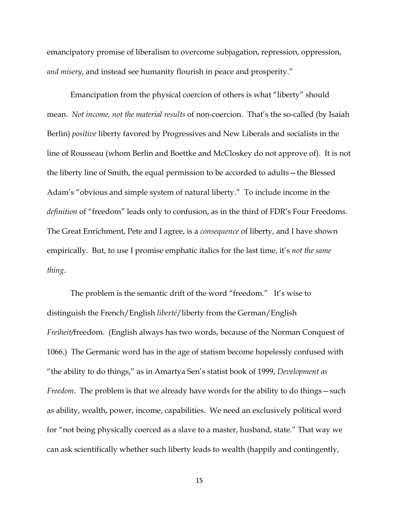emancipatory promise of liberalism to overcome subjugation, repression, oppression, *and misery*, and instead see humanity flourish in peace and prosperity."

Emancipation from the physical coercion of others is what "liberty" should mean. *Not income, not the material results* of non-coercion. That's the so-called (by Isaiah Berlin) *positive* liberty favored by Progressives and New Liberals and socialists in the line of Rousseau (whom Berlin and Boettke and McCloskey do not approve of). It is not the liberty line of Smith, the equal permission to be accorded to adults—the Blessed Adam's "obvious and simple system of natural liberty." To include income in the *definition* of "freedom" leads only to confusion, as in the third of FDR's Four Freedoms. The Great Enrichment, Pete and I agree, is a *consequence* of liberty, and I have shown empirically. But, to use I promise emphatic italics for the last time, it's *not the same thing*.

The problem is the semantic drift of the word "freedom." It's wise to distinguish the French/English *liberté*/liberty from the German/English *Freiheit/*freedom. (English always has two words, because of the Norman Conquest of 1066.) The Germanic word has in the age of statism become hopelessly confused with "the ability to do things," as in Amartya Sen's statist book of 1999, *Development as Freedom.* The problem is that we already have words for the ability to do things — such as ability, wealth, power, income, capabilities. We need an exclusively political word for "not being physically coerced as a slave to a master, husband, state." That way we can ask scientifically whether such liberty leads to wealth (happily and contingently,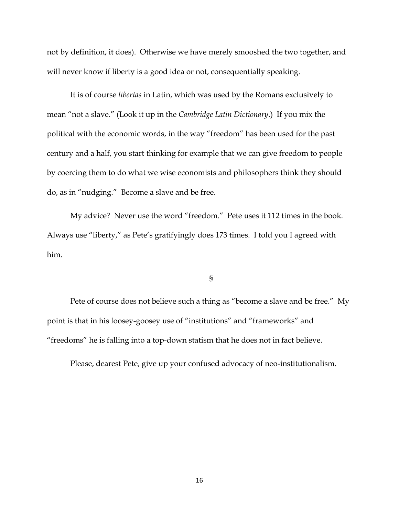not by definition, it does). Otherwise we have merely smooshed the two together, and will never know if liberty is a good idea or not, consequentially speaking.

It is of course *libertas* in Latin, which was used by the Romans exclusively to mean "not a slave." (Look it up in the *Cambridge Latin Dictionary*.) If you mix the political with the economic words, in the way "freedom" has been used for the past century and a half, you start thinking for example that we can give freedom to people by coercing them to do what we wise economists and philosophers think they should do, as in "nudging." Become a slave and be free.

My advice? Never use the word "freedom." Pete uses it 112 times in the book. Always use "liberty," as Pete's gratifyingly does 173 times. I told you I agreed with him.

§

Pete of course does not believe such a thing as "become a slave and be free." My point is that in his loosey-goosey use of "institutions" and "frameworks" and "freedoms" he is falling into a top-down statism that he does not in fact believe.

Please, dearest Pete, give up your confused advocacy of neo-institutionalism.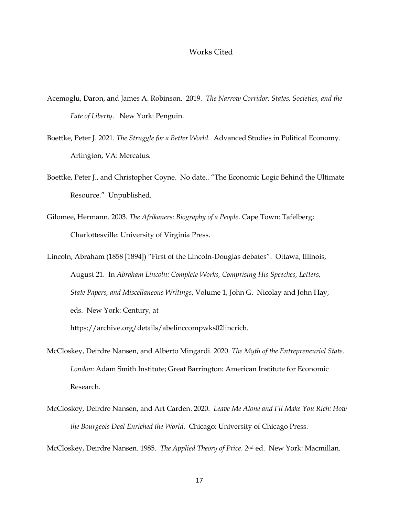## Works Cited

- Acemoglu, Daron, and James A. Robinson. 2019. *The Narrow Corridor: States, Societies, and the Fate of Liberty*. New York: Penguin.
- Boettke, Peter J. 2021. *The Struggle for a Better World.* Advanced Studies in Political Economy. Arlington, VA: Mercatus.
- Boettke, Peter J., and Christopher Coyne. No date.. "The Economic Logic Behind the Ultimate Resource." Unpublished.
- Gilomee, Hermann. 2003. *The Afrikaners: Biography of a People*. Cape Town: Tafelberg; Charlottesville: University of Virginia Press.
- Lincoln, Abraham (1858 [1894]) "First of the Lincoln-Douglas debates". Ottawa, Illinois, August 21. In *Abraham Lincoln: Complete Works, Comprising His Speeches, Letters, State Papers, and Miscellaneous Writings*, Volume 1, John G. Nicolay and John Hay, eds. New York: Century, at https://archive.org/details/abelinccompwks02lincrich.
- McCloskey, Deirdre Nansen, and Alberto Mingardi. 2020. *The Myth of the Entrepreneurial State. London:* Adam Smith Institute; Great Barrington: American Institute for Economic Research*.*
- McCloskey, Deirdre Nansen, and Art Carden. 2020. *Leave Me Alone and I'll Make You Rich: How the Bourgeois Deal Enriched the World.* Chicago: University of Chicago Press*.*

McCloskey, Deirdre Nansen. 1985. *The Applied Theory of Price.* 2nd ed. New York: Macmillan.